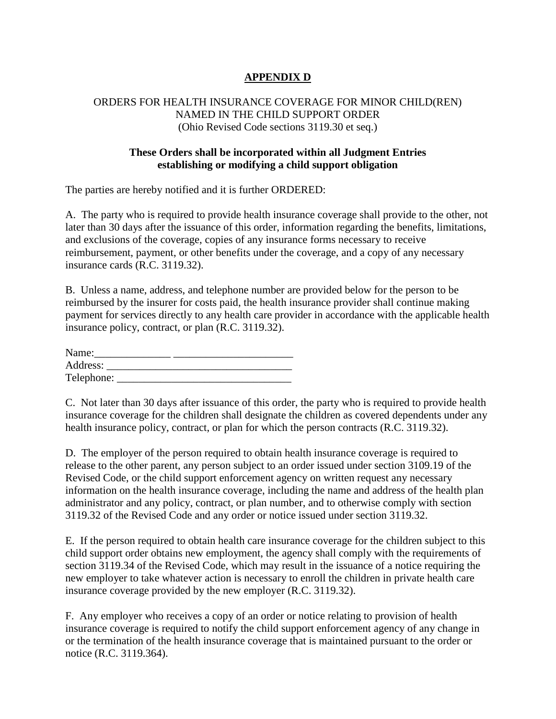## **APPENDIX D**

## ORDERS FOR HEALTH INSURANCE COVERAGE FOR MINOR CHILD(REN) NAMED IN THE CHILD SUPPORT ORDER (Ohio Revised Code sections 3119.30 et seq.)

## **These Orders shall be incorporated within all Judgment Entries establishing or modifying a child support obligation**

The parties are hereby notified and it is further ORDERED:

A. The party who is required to provide health insurance coverage shall provide to the other, not later than 30 days after the issuance of this order, information regarding the benefits, limitations, and exclusions of the coverage, copies of any insurance forms necessary to receive reimbursement, payment, or other benefits under the coverage, and a copy of any necessary insurance cards (R.C. 3119.32).

B. Unless a name, address, and telephone number are provided below for the person to be reimbursed by the insurer for costs paid, the health insurance provider shall continue making payment for services directly to any health care provider in accordance with the applicable health insurance policy, contract, or plan (R.C. 3119.32).

| Name:      |  |  |
|------------|--|--|
| Address:   |  |  |
| Telephone: |  |  |

C. Not later than 30 days after issuance of this order, the party who is required to provide health insurance coverage for the children shall designate the children as covered dependents under any health insurance policy, contract, or plan for which the person contracts (R.C. 3119.32).

D. The employer of the person required to obtain health insurance coverage is required to release to the other parent, any person subject to an order issued under section 3109.19 of the Revised Code, or the child support enforcement agency on written request any necessary information on the health insurance coverage, including the name and address of the health plan administrator and any policy, contract, or plan number, and to otherwise comply with section 3119.32 of the Revised Code and any order or notice issued under section 3119.32.

E. If the person required to obtain health care insurance coverage for the children subject to this child support order obtains new employment, the agency shall comply with the requirements of section 3119.34 of the Revised Code, which may result in the issuance of a notice requiring the new employer to take whatever action is necessary to enroll the children in private health care insurance coverage provided by the new employer (R.C. 3119.32).

F. Any employer who receives a copy of an order or notice relating to provision of health insurance coverage is required to notify the child support enforcement agency of any change in or the termination of the health insurance coverage that is maintained pursuant to the order or notice (R.C. 3119.364).